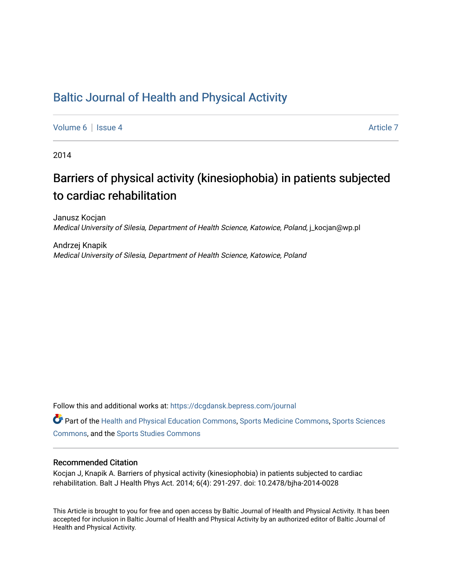# [Baltic Journal of Health and Physical Activity](https://dcgdansk.bepress.com/journal)

[Volume 6](https://dcgdansk.bepress.com/journal/vol6) | [Issue 4](https://dcgdansk.bepress.com/journal/vol6/iss4) Article 7

2014

# Barriers of physical activity (kinesiophobia) in patients subjected to cardiac rehabilitation

Janusz Kocjan Medical University of Silesia, Department of Health Science, Katowice, Poland, j\_kocjan@wp.pl

Andrzej Knapik Medical University of Silesia, Department of Health Science, Katowice, Poland

Follow this and additional works at: [https://dcgdansk.bepress.com/journal](https://dcgdansk.bepress.com/journal?utm_source=dcgdansk.bepress.com%2Fjournal%2Fvol6%2Fiss4%2F7&utm_medium=PDF&utm_campaign=PDFCoverPages)

Part of the [Health and Physical Education Commons](http://network.bepress.com/hgg/discipline/1327?utm_source=dcgdansk.bepress.com%2Fjournal%2Fvol6%2Fiss4%2F7&utm_medium=PDF&utm_campaign=PDFCoverPages), [Sports Medicine Commons,](http://network.bepress.com/hgg/discipline/1331?utm_source=dcgdansk.bepress.com%2Fjournal%2Fvol6%2Fiss4%2F7&utm_medium=PDF&utm_campaign=PDFCoverPages) [Sports Sciences](http://network.bepress.com/hgg/discipline/759?utm_source=dcgdansk.bepress.com%2Fjournal%2Fvol6%2Fiss4%2F7&utm_medium=PDF&utm_campaign=PDFCoverPages) [Commons](http://network.bepress.com/hgg/discipline/759?utm_source=dcgdansk.bepress.com%2Fjournal%2Fvol6%2Fiss4%2F7&utm_medium=PDF&utm_campaign=PDFCoverPages), and the [Sports Studies Commons](http://network.bepress.com/hgg/discipline/1198?utm_source=dcgdansk.bepress.com%2Fjournal%2Fvol6%2Fiss4%2F7&utm_medium=PDF&utm_campaign=PDFCoverPages) 

#### Recommended Citation

Kocjan J, Knapik A. Barriers of physical activity (kinesiophobia) in patients subjected to cardiac rehabilitation. Balt J Health Phys Act. 2014; 6(4): 291-297. doi: 10.2478/bjha-2014-0028

This Article is brought to you for free and open access by Baltic Journal of Health and Physical Activity. It has been accepted for inclusion in Baltic Journal of Health and Physical Activity by an authorized editor of Baltic Journal of Health and Physical Activity.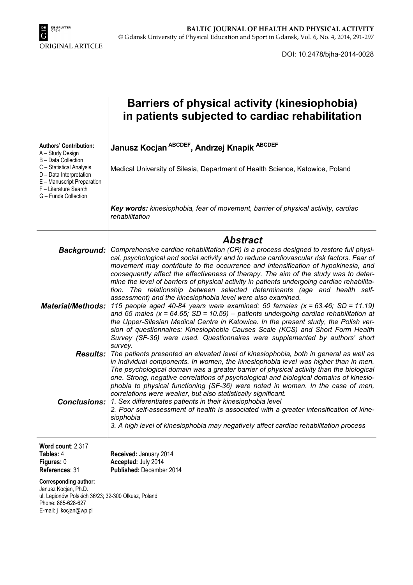

DOI: 10.2478/bjha-2014-0028

|                                                                                                                                                            | Barriers of physical activity (kinesiophobia)<br>in patients subjected to cardiac rehabilitation                                                                                                                                                                                                                                                                                                                                                                                                                                                                                                                                                                                             |
|------------------------------------------------------------------------------------------------------------------------------------------------------------|----------------------------------------------------------------------------------------------------------------------------------------------------------------------------------------------------------------------------------------------------------------------------------------------------------------------------------------------------------------------------------------------------------------------------------------------------------------------------------------------------------------------------------------------------------------------------------------------------------------------------------------------------------------------------------------------|
| <b>Authors' Contribution:</b><br>A - Study Design                                                                                                          | Janusz Kocjan ABCDEF, Andrzej Knapik ABCDEF                                                                                                                                                                                                                                                                                                                                                                                                                                                                                                                                                                                                                                                  |
| B - Data Collection<br>C - Statistical Analysis<br>D - Data Interpretation<br>E - Manuscript Preparation<br>F - Literature Search<br>G - Funds Collection  | Medical University of Silesia, Department of Health Science, Katowice, Poland                                                                                                                                                                                                                                                                                                                                                                                                                                                                                                                                                                                                                |
|                                                                                                                                                            | Key words: kinesiophobia, fear of movement, barrier of physical activity, cardiac<br>rehabilitation                                                                                                                                                                                                                                                                                                                                                                                                                                                                                                                                                                                          |
|                                                                                                                                                            | <b>Abstract</b>                                                                                                                                                                                                                                                                                                                                                                                                                                                                                                                                                                                                                                                                              |
| Background:                                                                                                                                                | Comprehensive cardiac rehabilitation (CR) is a process designed to restore full physi-<br>cal, psychological and social activity and to reduce cardiovascular risk factors. Fear of<br>movement may contribute to the occurrence and intensification of hypokinesia, and<br>consequently affect the effectiveness of therapy. The aim of the study was to deter-                                                                                                                                                                                                                                                                                                                             |
|                                                                                                                                                            | mine the level of barriers of physical activity in patients undergoing cardiac rehabilita-<br>tion. The relationship between selected determinants (age and health self-                                                                                                                                                                                                                                                                                                                                                                                                                                                                                                                     |
| <b>Material/Methods:</b>                                                                                                                                   | assessment) and the kinesiophobia level were also examined.<br>115 people aged 40-84 years were examined: 50 females $(x = 63.46; SD = 11.19)$<br>and 65 males (x = 64.65; SD = 10.59) - patients undergoing cardiac rehabilitation at<br>the Upper-Silesian Medical Centre in Katowice. In the present study, the Polish ver-<br>sion of questionnaires: Kinesiophobia Causes Scale (KCS) and Short Form Health<br>Survey (SF-36) were used. Questionnaires were supplemented by authors' short<br>survey.                                                                                                                                                                                  |
| <b>Results:</b>                                                                                                                                            | The patients presented an elevated level of kinesiophobia, both in general as well as                                                                                                                                                                                                                                                                                                                                                                                                                                                                                                                                                                                                        |
| <b>Conclusions:</b>                                                                                                                                        | in individual components. In women, the kinesiophobia level was higher than in men.<br>The psychological domain was a greater barrier of physical activity than the biological<br>one. Strong, negative correlations of psychological and biological domains of kinesio-<br>phobia to physical functioning (SF-36) were noted in women. In the case of men,<br>correlations were weaker, but also statistically significant.<br>1. Sex differentiates patients in their kinesiophobia level<br>2. Poor self-assessment of health is associated with a greater intensification of kine-<br>siophobia<br>3. A high level of kinesiophobia may negatively affect cardiac rehabilitation process |
| Word count: 2,317<br>Tables: 4<br>Figures: 0<br>References: 31                                                                                             | Received: January 2014<br>Accepted: July 2014<br>Published: December 2014                                                                                                                                                                                                                                                                                                                                                                                                                                                                                                                                                                                                                    |
| <b>Corresponding author:</b><br>Janusz Kocjan, Ph.D.<br>ul. Legionów Polskich 36/23; 32-300 Olkusz, Poland<br>Phone: 885-628-627<br>E-mail: j_kocjan@wp.pl |                                                                                                                                                                                                                                                                                                                                                                                                                                                                                                                                                                                                                                                                                              |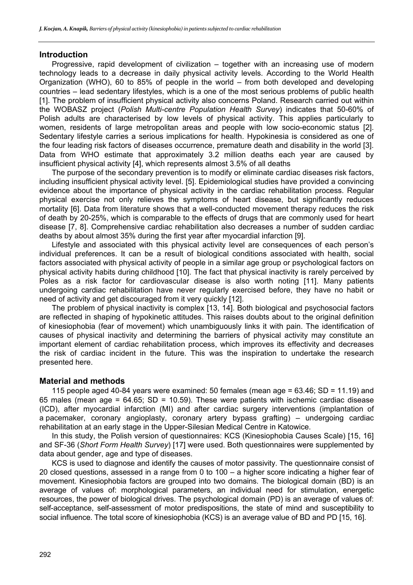#### **Introduction**

Progressive, rapid development of civilization – together with an increasing use of modern technology leads to a decrease in daily physical activity levels. According to the World Health Organization (WHO), 60 to 85% of people in the world – from both developed and developing countries – lead sedentary lifestyles, which is a one of the most serious problems of public health [1]. The problem of insufficient physical activity also concerns Poland. Research carried out within the WOBASZ project (*Polish Multi-centre Population Health Survey*) indicates that 50-60% of Polish adults are characterised by low levels of physical activity. This applies particularly to women, residents of large metropolitan areas and people with low socio-economic status [2]. Sedentary lifestyle carries a serious implications for health. Hypokinesia is considered as one of the four leading risk factors of diseases occurrence, premature death and disability in the world [3]. Data from WHO estimate that approximately 3.2 million deaths each year are caused by insufficient physical activity [4], which represents almost 3.5% of all deaths

The purpose of the secondary prevention is to modify or eliminate cardiac diseases risk factors, including insufficient physical activity level. [5]. Epidemiological studies have provided a convincing evidence about the importance of physical activity in the cardiac rehabilitation process. Regular physical exercise not only relieves the symptoms of heart disease, but significantly reduces mortality [6]. Data from literature shows that a well-conducted movement therapy reduces the risk of death by 20-25%, which is comparable to the effects of drugs that are commonly used for heart disease [7, 8]. Comprehensive cardiac rehabilitation also decreases a number of sudden cardiac deaths by about almost 35% during the first year after myocardial infarction [9].

Lifestyle and associated with this physical activity level are consequences of each person's individual preferences. It can be a result of biological conditions associated with health, social factors associated with physical activity of people in a similar age group or psychological factors on physical activity habits during childhood [10]. The fact that physical inactivity is rarely perceived by Poles as a risk factor for cardiovascular disease is also worth noting [11]. Many patients undergoing cardiac rehabilitation have never regularly exercised before, they have no habit or need of activity and get discouraged from it very quickly [12].

The problem of physical inactivity is complex [13, 14]. Both biological and psychosocial factors are reflected in shaping of hypokinetic attitudes. This raises doubts about to the original definition of kinesiophobia (fear of movement) which unambiguously links it with pain. The identification of causes of physical inactivity and determining the barriers of physical activity may constitute an important element of cardiac rehabilitation process, which improves its effectivity and decreases the risk of cardiac incident in the future. This was the inspiration to undertake the research presented here.

# **Material and methods**

115 people aged 40-84 years were examined: 50 females (mean age =  $63.46$ ; SD = 11.19) and 65 males (mean age =  $64.65$ ; SD =  $10.59$ ). These were patients with ischemic cardiac disease (ICD), after myocardial infarction (MI) and after cardiac surgery interventions (implantation of a pacemaker, coronary angioplasty, coronary artery bypass grafting) – undergoing cardiac rehabilitation at an early stage in the Upper-Silesian Medical Centre in Katowice.

In this study, the Polish version of questionnaires: KCS (Kinesiophobia Causes Scale) [15, 16] and SF-36 (*Short Form Health Survey*) [17] were used. Both questionnaires were supplemented by data about gender, age and type of diseases.

KCS is used to diagnose and identify the causes of motor passivity. The questionnaire consist of 20 closed questions, assessed in a range from 0 to 100 – a higher score indicating a higher fear of movement. Kinesiophobia factors are grouped into two domains. The biological domain (BD) is an average of values of: morphological parameters, an individual need for stimulation, energetic resources, the power of biological drives. The psychological domain (PD) is an average of values of: self-acceptance, self-assessment of motor predispositions, the state of mind and susceptibility to social influence. The total score of kinesiophobia (KCS) is an average value of BD and PD [15, 16].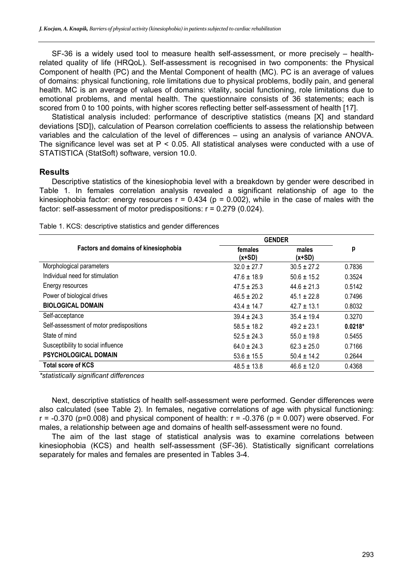SF-36 is a widely used tool to measure health self-assessment, or more precisely – healthrelated quality of life (HRQoL). Self-assessment is recognised in two components: the Physical Component of health (PC) and the Mental Component of health (MC). PC is an average of values of domains: physical functioning, role limitations due to physical problems, bodily pain, and general health. MC is an average of values of domains: vitality, social functioning, role limitations due to emotional problems, and mental health. The questionnaire consists of 36 statements; each is scored from 0 to 100 points, with higher scores reflecting better self-assessment of health [17].

Statistical analysis included: performance of descriptive statistics (means [X] and standard deviations [SD]), calculation of Pearson correlation coefficients to assess the relationship between variables and the calculation of the level of differences – using an analysis of variance ANOVA. The significance level was set at P < 0.05. All statistical analyses were conducted with a use of STATISTICA (StatSoft) software, version 10.0.

#### **Results**

Descriptive statistics of the kinesiophobia level with a breakdown by gender were described in Table 1. In females correlation analysis revealed a significant relationship of age to the kinesiophobia factor: energy resources  $r = 0.434$  ( $p = 0.002$ ), while in the case of males with the factor: self-assessment of motor predispositions: r = 0.279 (0.024).

|                                          | <b>GENDER</b>       |                   |           |
|------------------------------------------|---------------------|-------------------|-----------|
| Factors and domains of kinesiophobia     | females<br>$(x+SD)$ | males<br>$(x+SD)$ | р         |
| Morphological parameters                 | $32.0 \pm 27.7$     | $30.5 \pm 27.2$   | 0.7836    |
| Individual need for stimulation          | $47.6 \pm 18.9$     | $50.6 \pm 15.2$   | 0.3524    |
| Energy resources                         | $47.5 \pm 25.3$     | $44.6 + 21.3$     | 0.5142    |
| Power of biological drives               | $46.5 \pm 20.2$     | $45.1 \pm 22.8$   | 0.7496    |
| <b>BIOLOGICAL DOMAIN</b>                 | $43.4 \pm 14.7$     | $42.7 \pm 13.1$   | 0.8032    |
| Self-acceptance                          | $39.4 \pm 24.3$     | $35.4 + 19.4$     | 0.3270    |
| Self-assessment of motor predispositions | $58.5 \pm 18.2$     | $49.2 + 23.1$     | $0.0218*$ |
| State of mind                            | $52.5 \pm 24.3$     | $55.0 \pm 19.8$   | 0.5455    |
| Susceptibility to social influence       | $64.0 \pm 24.3$     | $62.3 \pm 25.0$   | 0.7166    |
| PSYCHOLOGICAL DOMAIN                     | $53.6 \pm 15.5$     | $50.4 \pm 14.2$   | 0.2644    |
| <b>Total score of KCS</b>                | $48.5 \pm 13.8$     | $46.6 \pm 12.0$   | 0.4368    |

Table 1. KCS: descriptive statistics and gender differences

*\*statistically significant differences* 

Next, descriptive statistics of health self-assessment were performed. Gender differences were also calculated (see Table 2). In females, negative correlations of age with physical functioning:  $r = -0.370$  (p=0.008) and physical component of health:  $r = -0.376$  (p = 0.007) were observed. For males, a relationship between age and domains of health self-assessment were no found.

The aim of the last stage of statistical analysis was to examine correlations between kinesiophobia (KCS) and health self-assessment (SF-36). Statistically significant correlations separately for males and females are presented in Tables 3-4.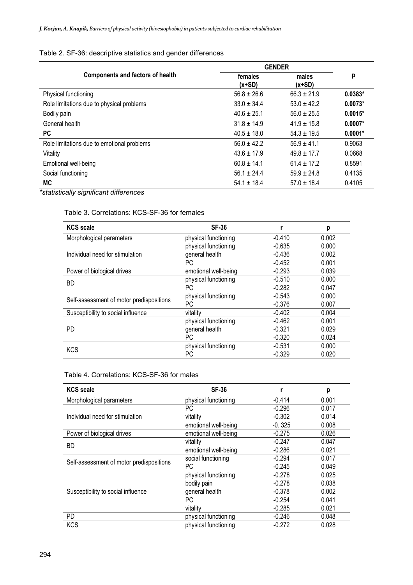## Table 2. SF-36: descriptive statistics and gender differences

|                                            | <b>GENDER</b>       |                   |           |
|--------------------------------------------|---------------------|-------------------|-----------|
| <b>Components and factors of health</b>    | females<br>$(x+SD)$ | males<br>$(x+SD)$ | р         |
| Physical functioning                       | $56.8 \pm 26.6$     | $66.3 \pm 21.9$   | $0.0383*$ |
| Role limitations due to physical problems  | $33.0 + 34.4$       | $53.0 + 42.2$     | $0.0073*$ |
| Bodily pain                                | $40.6 + 25.1$       | $56.0 + 25.5$     | $0.0015*$ |
| General health                             | $31.8 + 14.9$       | $41.9 + 15.8$     | $0.0007*$ |
| <b>PC</b>                                  | $40.5 + 18.0$       | $54.3 + 19.5$     | $0.0001*$ |
| Role limitations due to emotional problems | $56.0 + 42.2$       | $56.9 + 41.1$     | 0.9063    |
| Vitality                                   | $43.6 + 17.9$       | $49.8 + 17.7$     | 0.0668    |
| Emotional well-being                       | $60.8 + 14.1$       | $61.4 + 17.2$     | 0.8591    |
| Social functioning                         | $56.1 \pm 24.4$     | $59.9 \pm 24.8$   | 0.4135    |
| MC                                         | $54.1 \pm 18.4$     | $57.0 \pm 18.4$   | 0.4105    |

*\*statistically significant differences* 

#### Table 3. Correlations: KCS-SF-36 for females

| <b>KCS</b> scale                         | <b>SF-36</b>         |          | р     |
|------------------------------------------|----------------------|----------|-------|
| Morphological parameters                 | physical functioning | $-0.410$ | 0.002 |
|                                          | physical functioning | $-0.635$ | 0.000 |
| Individual need for stimulation          | general health       | $-0.436$ | 0.002 |
|                                          | РC                   | $-0.452$ | 0.001 |
| Power of biological drives               | emotional well-being | $-0.293$ | 0.039 |
| BD                                       | physical functioning | $-0.510$ | 0.000 |
|                                          | РC                   | $-0.282$ | 0.047 |
| Self-assessment of motor predispositions | physical functioning | $-0.543$ | 0.000 |
|                                          | РC                   | $-0.376$ | 0.007 |
| Susceptibility to social influence       | vitality             | $-0.402$ | 0.004 |
|                                          | physical functioning | $-0.462$ | 0.001 |
| <b>PD</b>                                | general health       | $-0.321$ | 0.029 |
|                                          | РC                   | $-0.320$ | 0.024 |
| <b>KCS</b>                               | physical functioning | $-0.531$ | 0.000 |
|                                          | РC                   | $-0.329$ | 0.020 |

## Table 4. Correlations: KCS-SF-36 for males

| <b>KCS</b> scale                         | <b>SF-36</b>         |          | p     |
|------------------------------------------|----------------------|----------|-------|
| Morphological parameters                 | physical functioning | $-0.414$ | 0.001 |
|                                          | РC                   | $-0.296$ | 0.017 |
| Individual need for stimulation          | vitality             | $-0.302$ | 0.014 |
|                                          | emotional well-being | $-0.325$ | 0.008 |
| Power of biological drives               | emotional well-being | $-0.275$ | 0.026 |
| <b>BD</b>                                | vitality             | $-0.247$ | 0.047 |
|                                          | emotional well-being | $-0.286$ | 0.021 |
| Self-assessment of motor predispositions | social functioning   | $-0.294$ | 0.017 |
|                                          | PC.                  | $-0.245$ | 0.049 |
|                                          | physical functioning | $-0.278$ | 0.025 |
|                                          | bodily pain          | $-0.278$ | 0.038 |
| Susceptibility to social influence       | general health       | $-0.378$ | 0.002 |
|                                          | PC.                  | $-0.254$ | 0.041 |
|                                          | vitality             | $-0.285$ | 0.021 |
| <b>PD</b>                                | physical functioning | $-0.246$ | 0.048 |
| <b>KCS</b>                               | physical functioning | $-0.272$ | 0.028 |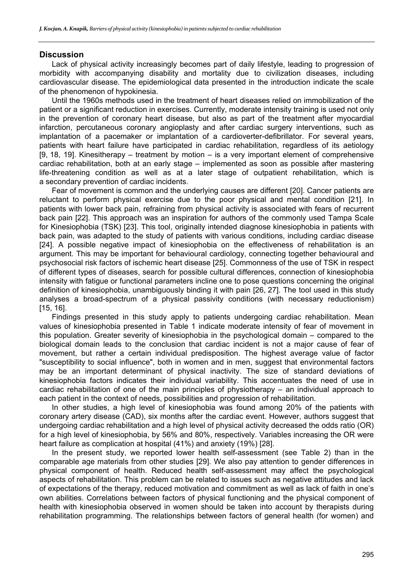#### **Discussion**

Lack of physical activity increasingly becomes part of daily lifestyle, leading to progression of morbidity with accompanying disability and mortality due to civilization diseases, including cardiovascular disease. The epidemiological data presented in the introduction indicate the scale of the phenomenon of hypokinesia.

Until the 1960s methods used in the treatment of heart diseases relied on immobilization of the patient or a significant reduction in exercises. Currently, moderate intensity training is used not only in the prevention of coronary heart disease, but also as part of the treatment after myocardial infarction, percutaneous coronary angioplasty and after cardiac surgery interventions, such as implantation of a pacemaker or implantation of a cardioverter-defibrillator. For several years, patients with heart failure have participated in cardiac rehabilitation, regardless of its aetiology [9, 18, 19]. Kinesitherapy – treatment by motion – is a very important element of comprehensive cardiac rehabilitation, both at an early stage – implemented as soon as possible after mastering life-threatening condition as well as at a later stage of outpatient rehabilitation, which is a secondary prevention of cardiac incidents.

Fear of movement is common and the underlying causes are different [20]. Cancer patients are reluctant to perform physical exercise due to the poor physical and mental condition [21]. In patients with lower back pain, refraining from physical activity is associated with fears of recurrent back pain [22]. This approach was an inspiration for authors of the commonly used Tampa Scale for Kinesiophobia (TSK) [23]. This tool, originally intended diagnose kinesiophobia in patients with back pain, was adapted to the study of patients with various conditions, including cardiac disease [24]. A possible negative impact of kinesiophobia on the effectiveness of rehabilitation is an argument. This may be important for behavioural cardiology, connecting together behavioural and psychosocial risk factors of ischemic heart disease [25]. Commonness of the use of TSK in respect of different types of diseases, search for possible cultural differences, connection of kinesiophobia intensity with fatigue or functional parameters incline one to pose questions concerning the original definition of kinesiophobia, unambiguously binding it with pain [26, 27]. The tool used in this study analyses a broad-spectrum of a physical passivity conditions (with necessary reductionism) [15, 16].

Findings presented in this study apply to patients undergoing cardiac rehabilitation. Mean values of kinesiophobia presented in Table 1 indicate moderate intensity of fear of movement in this population. Greater severity of kinesiophobia in the psychological domain – compared to the biological domain leads to the conclusion that cardiac incident is not a major cause of fear of movement, but rather a certain individual predisposition. The highest average value of factor "susceptibility to social influence", both in women and in men, suggest that environmental factors may be an important determinant of physical inactivity. The size of standard deviations of kinesiophobia factors indicates their individual variability. This accentuates the need of use in cardiac rehabilitation of one of the main principles of physiotherapy – an individual approach to each patient in the context of needs, possibilities and progression of rehabilitation.

In other studies, a high level of kinesiophobia was found among 20% of the patients with coronary artery disease (CAD), six months after the cardiac event. However, authors suggest that undergoing cardiac rehabilitation and a high level of physical activity decreased the odds ratio (OR) for a high level of kinesiophobia, by 56% and 80%, respectively. Variables increasing the OR were heart failure as complication at hospital (41%) and anxiety (19%) [28].

In the present study, we reported lower health self-assessment (see Table 2) than in the comparable age materials from other studies [29]. We also pay attention to gender differences in physical component of health. Reduced health self-assessment may affect the psychological aspects of rehabilitation. This problem can be related to issues such as negative attitudes and lack of expectations of the therapy, reduced motivation and commitment as well as lack of faith in one's own abilities. Correlations between factors of physical functioning and the physical component of health with kinesiophobia observed in women should be taken into account by therapists during rehabilitation programming. The relationships between factors of general health (for women) and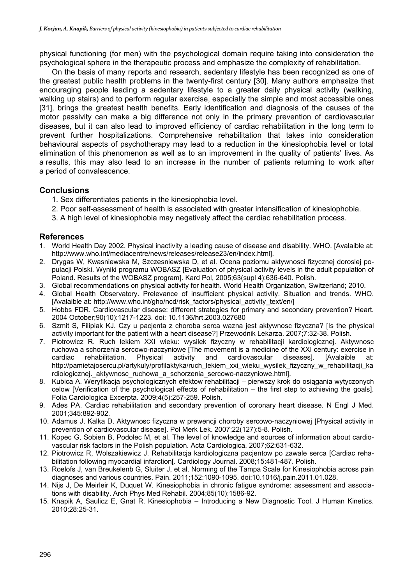physical functioning (for men) with the psychological domain require taking into consideration the psychological sphere in the therapeutic process and emphasize the complexity of rehabilitation.

On the basis of many reports and research, sedentary lifestyle has been recognized as one of the greatest public health problems in the twenty-first century [30]. Many authors emphasize that encouraging people leading a sedentary lifestyle to a greater daily physical activity (walking, walking up stairs) and to perform regular exercise, especially the simple and most accessible ones [31], brings the greatest health benefits. Early identification and diagnosis of the causes of the motor passivity can make a big difference not only in the primary prevention of cardiovascular diseases, but it can also lead to improved efficiency of cardiac rehabilitation in the long term to prevent further hospitalizations. Comprehensive rehabilitation that takes into consideration behavioural aspects of psychotherapy may lead to a reduction in the kinesiophobia level or total elimination of this phenomenon as well as to an improvement in the quality of patients' lives. As a results, this may also lead to an increase in the number of patients returning to work after a period of convalescence.

# **Conclusions**

- 1. Sex differentiates patients in the kinesiophobia level.
- 2. Poor self-assessment of health is associated with greater intensification of kinesiophobia.
- 3. A high level of kinesiophobia may negatively affect the cardiac rehabilitation process.

# **References**

- 1. World Health Day 2002. Physical inactivity a leading cause of disease and disability. WHO. [Avalaible at: http://www.who.int/mediacentre/news/releases/release23/en/index.html].
- 2. Drygas W, Kwasniewska M, Szczesniewska D, et al. Ocena poziomu aktywnosci fizycznej doroslej populacji Polski. Wyniki programu WOBASZ [Evaluation of physical activity levels in the adult population of Poland. Results of the WOBASZ program]. Kard Pol, 2005;63(supl 4):636-640. Polish.
- 3. Global recommendations on physical activity for health. World Health Organization, Switzerland; 2010.
- 4. Global Health Observatory. Prelevance of insufficient physical activity. Situation and trends. WHO. [Avalaible at: http://www.who.int/gho/ncd/risk\_factors/physical\_activity\_text/en/]
- 5. Hobbs FDR. Cardiovascular disease: different strategies for primary and secondary prevention? Heart. 2004 October;90(10):1217-1223. doi: 10.1136/hrt.2003.027680
- 6. Szmit S, Filipiak KJ. Czy u pacjenta z choroba serca wazna jest aktywnosc fizyczna? [Is the physical activity important for the patient with a heart disease?] Przewodnik Lekarza. 2007;7:32-38. Polish.
- 7. Piotrowicz R. Ruch lekiem XXI wieku: wysilek fizyczny w rehabilitacji kardiologicznej. Aktywnosc ruchowa a schorzenia sercowo-naczyniowe [The movement is a medicine of the XXI century: exercise in cardiac rehabilitation. Physical activity and cardiovascular diseases]. [Avalaible at: http://pamietajosercu.pl/artykuly/profilaktyka/ruch\_lekiem\_xxi\_wieku\_wysilek\_fizyczny\_w\_rehabilitacji\_ka rdiologicznej.\_aktywnosc\_ruchowa\_a\_schorzenia\_sercowo-naczyniowe.html].
- 8. Kubica A. Weryfikacja psychologicznych efektow rehabilitacji pierwszy krok do osiągania wytyczonych celow [Verification of the psychological effects of rehabilitation – the first step to achieving the goals]. Folia Cardiologica Excerpta. 2009;4(5):257-259. Polish.
- 9. Ades PA. Cardiac rehabilitation and secondary prevention of coronary heart disease. N Engl J Med. 2001;345:892-902.
- 10. Adamus J, Kalka D. Aktywnosc fizyczna w prewencji choroby sercowo-naczyniowej [Physical activity in prevention of cardiovascular disease]. Pol Merk Lek. 2007;22(127):5-8. Polish.
- 11. Kopec G, Sobien B, Podolec M, et al. The level of knowledge and sources of information about cardiovascular risk factors in the Polish population. Acta Cardiologica. 2007;62:631-632.
- 12. Piotrowicz R, Wolszakiewicz J. Rehabilitacja kardiologiczna pacjentow po zawale serca [Cardiac rehabilitation following myocardial infarction[. Cardiology Journal. 2008;15:481-487. Polish.
- 13. Roelofs J, van Breukelenb G, Sluiter J, et al. Norming of the Tampa Scale for Kinesiophobia across pain diagnoses and various countries. Pain. 2011;152:1090-1095. doi:10.1016/j.pain.2011.01.028.
- 14. Nijs J, De Meirleir K, Duquet W. Kinesiophobia in chronic fatigue syndrome: assessment and associations with disability. Arch Phys Med Rehabil. 2004;85(10):1586-92.
- 15. Knapik A, Saulicz E, Gnat R. Kinesiophobia Introducing a New Diagnostic Tool. J Human Kinetics. 2010;28:25-31.